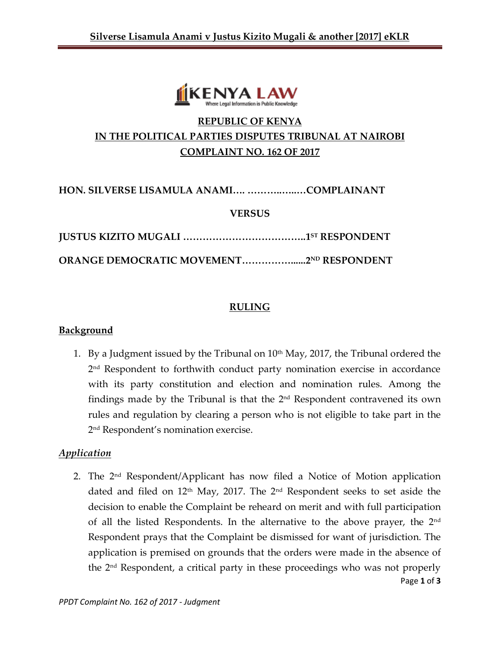

# **REPUBLIC OF KENYA IN THE POLITICAL PARTIES DISPUTES TRIBUNAL AT NAIROBI COMPLAINT NO. 162 OF 2017**

**HON. SILVERSE LISAMULA ANAMI…. ………..…..…COMPLAINANT**

#### **VERSUS**

**JUSTUS KIZITO MUGALI ………………………………..1 ST RESPONDENT**

**ORANGE DEMOCRATIC MOVEMENT……………......2ND RESPONDENT**

#### **RULING**

#### **Background**

1. By a Judgment issued by the Tribunal on  $10<sup>th</sup>$  May, 2017, the Tribunal ordered the 2 nd Respondent to forthwith conduct party nomination exercise in accordance with its party constitution and election and nomination rules. Among the findings made by the Tribunal is that the  $2<sup>nd</sup>$  Respondent contravened its own rules and regulation by clearing a person who is not eligible to take part in the 2 nd Respondent's nomination exercise.

### *Application*

Page **1** of **3** 2. The 2<sup>nd</sup> Respondent/Applicant has now filed a Notice of Motion application dated and filed on  $12<sup>th</sup>$  May, 2017. The  $2<sup>nd</sup>$  Respondent seeks to set aside the decision to enable the Complaint be reheard on merit and with full participation of all the listed Respondents. In the alternative to the above prayer, the 2nd Respondent prays that the Complaint be dismissed for want of jurisdiction. The application is premised on grounds that the orders were made in the absence of the 2nd Respondent, a critical party in these proceedings who was not properly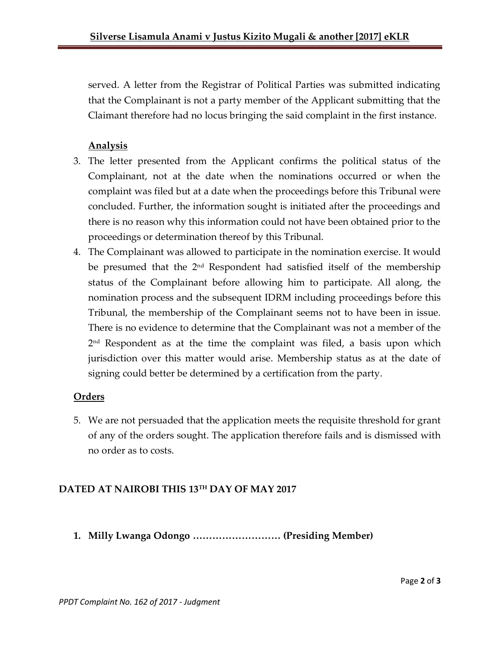served. A letter from the Registrar of Political Parties was submitted indicating that the Complainant is not a party member of the Applicant submitting that the Claimant therefore had no locus bringing the said complaint in the first instance.

## **Analysis**

- 3. The letter presented from the Applicant confirms the political status of the Complainant, not at the date when the nominations occurred or when the complaint was filed but at a date when the proceedings before this Tribunal were concluded. Further, the information sought is initiated after the proceedings and there is no reason why this information could not have been obtained prior to the proceedings or determination thereof by this Tribunal.
- 4. The Complainant was allowed to participate in the nomination exercise. It would be presumed that the 2<sup>nd</sup> Respondent had satisfied itself of the membership status of the Complainant before allowing him to participate. All along, the nomination process and the subsequent IDRM including proceedings before this Tribunal, the membership of the Complainant seems not to have been in issue. There is no evidence to determine that the Complainant was not a member of the 2 nd Respondent as at the time the complaint was filed, a basis upon which jurisdiction over this matter would arise. Membership status as at the date of signing could better be determined by a certification from the party.

### **Orders**

5. We are not persuaded that the application meets the requisite threshold for grant of any of the orders sought. The application therefore fails and is dismissed with no order as to costs.

## **DATED AT NAIROBI THIS 13TH DAY OF MAY 2017**

**1. Milly Lwanga Odongo ……………………… (Presiding Member)**